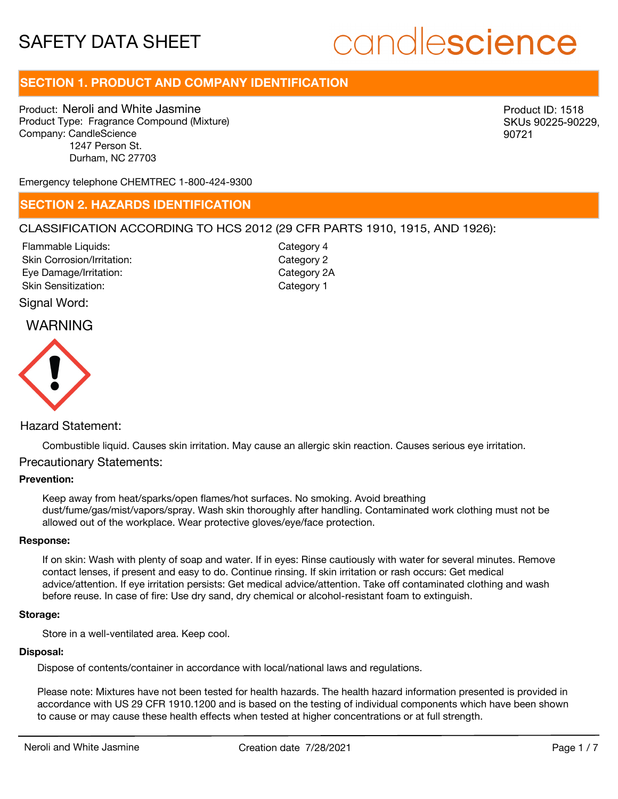# candlescience

## **SECTION 1. PRODUCT AND COMPANY IDENTIFICATION**

Product: Neroli and White Jasmine Product Type: Fragrance Compound (Mixture) Company: CandleScience 1247 Person St. Durham, NC 27703

Product ID: 1518 SKUs 90225-90229, 90721

Emergency telephone CHEMTREC 1-800-424-9300

## **SECTION 2. HAZARDS IDENTIFICATION**

## CLASSIFICATION ACCORDING TO HCS 2012 (29 CFR PARTS 1910, 1915, AND 1926):

Skin Corrosion/Irritation: Eye Damage/Irritation: Skin Sensitization: Flammable Liquids:

Category 2 Category 2A Category 1 Category 4

Signal Word:

## WARNING



## Hazard Statement:

Combustible liquid. Causes skin irritation. May cause an allergic skin reaction. Causes serious eye irritation.

## Precautionary Statements:

### **Prevention:**

Keep away from heat/sparks/open flames/hot surfaces. No smoking. Avoid breathing dust/fume/gas/mist/vapors/spray. Wash skin thoroughly after handling. Contaminated work clothing must not be allowed out of the workplace. Wear protective gloves/eye/face protection.

#### **Response:**

If on skin: Wash with plenty of soap and water. If in eyes: Rinse cautiously with water for several minutes. Remove contact lenses, if present and easy to do. Continue rinsing. If skin irritation or rash occurs: Get medical advice/attention. If eye irritation persists: Get medical advice/attention. Take off contaminated clothing and wash before reuse. In case of fire: Use dry sand, dry chemical or alcohol-resistant foam to extinguish.

#### **Storage:**

Store in a well-ventilated area. Keep cool.

### **Disposal:**

Dispose of contents/container in accordance with local/national laws and regulations.

Please note: Mixtures have not been tested for health hazards. The health hazard information presented is provided in accordance with US 29 CFR 1910.1200 and is based on the testing of individual components which have been shown to cause or may cause these health effects when tested at higher concentrations or at full strength.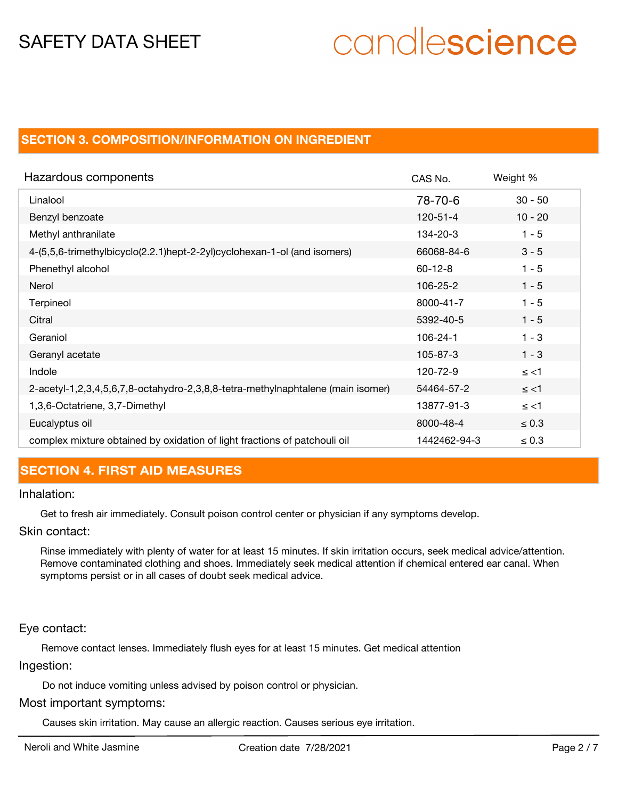# candlescience

## **SECTION 3. COMPOSITION/INFORMATION ON INGREDIENT**

| Hazardous components                                                            | CAS No.        | Weight %   |
|---------------------------------------------------------------------------------|----------------|------------|
| Linalool                                                                        | 78-70-6        | $30 - 50$  |
| Benzyl benzoate                                                                 | 120-51-4       | $10 - 20$  |
| Methyl anthranilate                                                             | 134-20-3       | $1 - 5$    |
| 4-(5,5,6-trimethylbicyclo(2.2.1)hept-2-2yl)cyclohexan-1-ol (and isomers)        | 66068-84-6     | $3 - 5$    |
| Phenethyl alcohol                                                               | $60 - 12 - 8$  | $1 - 5$    |
| Nerol                                                                           | 106-25-2       | $1 - 5$    |
| Terpineol                                                                       | 8000-41-7      | $1 - 5$    |
| Citral                                                                          | 5392-40-5      | $1 - 5$    |
| Geraniol                                                                        | $106 - 24 - 1$ | $1 - 3$    |
| Geranyl acetate                                                                 | 105-87-3       | $1 - 3$    |
| Indole                                                                          | 120-72-9       | $\le$ <1   |
| 2-acetyl-1,2,3,4,5,6,7,8-octahydro-2,3,8,8-tetra-methylnaphtalene (main isomer) | 54464-57-2     | $\le$ <1   |
| 1,3,6-Octatriene, 3,7-Dimethyl                                                  | 13877-91-3     | $\le$ <1   |
| Eucalyptus oil                                                                  | 8000-48-4      | $\leq 0.3$ |
| complex mixture obtained by oxidation of light fractions of patchouli oil       | 1442462-94-3   | $\leq 0.3$ |

## **SECTION 4. FIRST AID MEASURES**

## Inhalation:

Get to fresh air immediately. Consult poison control center or physician if any symptoms develop.

Skin contact:

Rinse immediately with plenty of water for at least 15 minutes. If skin irritation occurs, seek medical advice/attention. Remove contaminated clothing and shoes. Immediately seek medical attention if chemical entered ear canal. When symptoms persist or in all cases of doubt seek medical advice.

Eye contact:

Remove contact lenses. Immediately flush eyes for at least 15 minutes. Get medical attention Ingestion:

Do not induce vomiting unless advised by poison control or physician.

## Most important symptoms:

Causes skin irritation. May cause an allergic reaction. Causes serious eye irritation.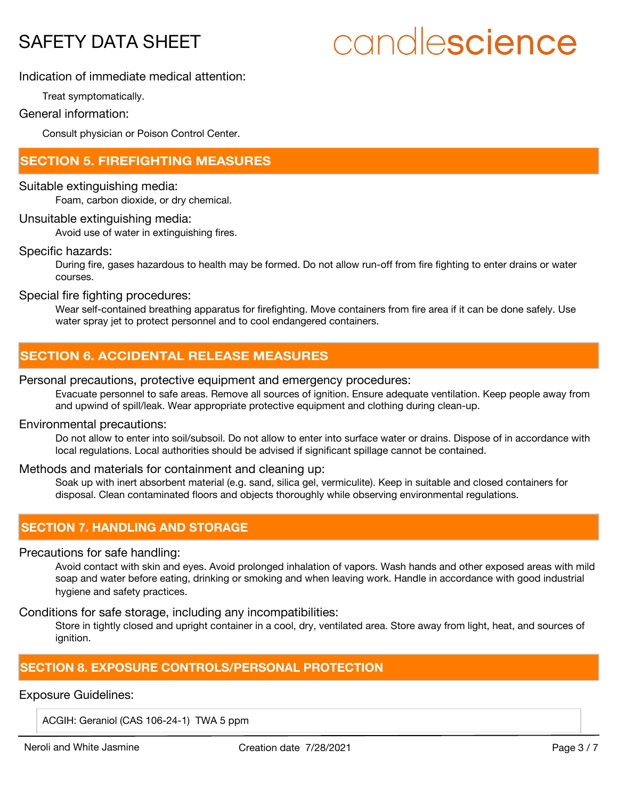# candlescience

## Indication of immediate medical attention:

Treat symptomatically.

## General information:

Consult physician or Poison Control Center.

## **SECTION 5. FIREFIGHTING MEASURES**

## Suitable extinguishing media:

Foam, carbon dioxide, or dry chemical.

## Unsuitable extinguishing media:

Avoid use of water in extinguishing fires.

## Specific hazards:

During fire, gases hazardous to health may be formed. Do not allow run-off from fire fighting to enter drains or water courses.

Special fire fighting procedures:

Wear self-contained breathing apparatus for firefighting. Move containers from fire area if it can be done safely. Use water spray jet to protect personnel and to cool endangered containers.

## **SECTION 6. ACCIDENTAL RELEASE MEASURES**

## Personal precautions, protective equipment and emergency procedures:

Evacuate personnel to safe areas. Remove all sources of ignition. Ensure adequate ventilation. Keep people away from and upwind of spill/leak. Wear appropriate protective equipment and clothing during clean-up.

### Environmental precautions:

Do not allow to enter into soil/subsoil. Do not allow to enter into surface water or drains. Dispose of in accordance with local regulations. Local authorities should be advised if significant spillage cannot be contained.

## Methods and materials for containment and cleaning up:

Soak up with inert absorbent material (e.g. sand, silica gel, vermiculite). Keep in suitable and closed containers for disposal. Clean contaminated floors and objects thoroughly while observing environmental regulations.

## **SECTION 7. HANDLING AND STORAGE**

### Precautions for safe handling:

Avoid contact with skin and eyes. Avoid prolonged inhalation of vapors. Wash hands and other exposed areas with mild soap and water before eating, drinking or smoking and when leaving work. Handle in accordance with good industrial hygiene and safety practices.

Conditions for safe storage, including any incompatibilities:

Store in tightly closed and upright container in a cool, dry, ventilated area. Store away from light, heat, and sources of ignition.

## **SECTION 8. EXPOSURE CONTROLS/PERSONAL PROTECTION**

## Exposure Guidelines:

ACGIH: Geraniol (CAS 106-24-1) TWA 5 ppm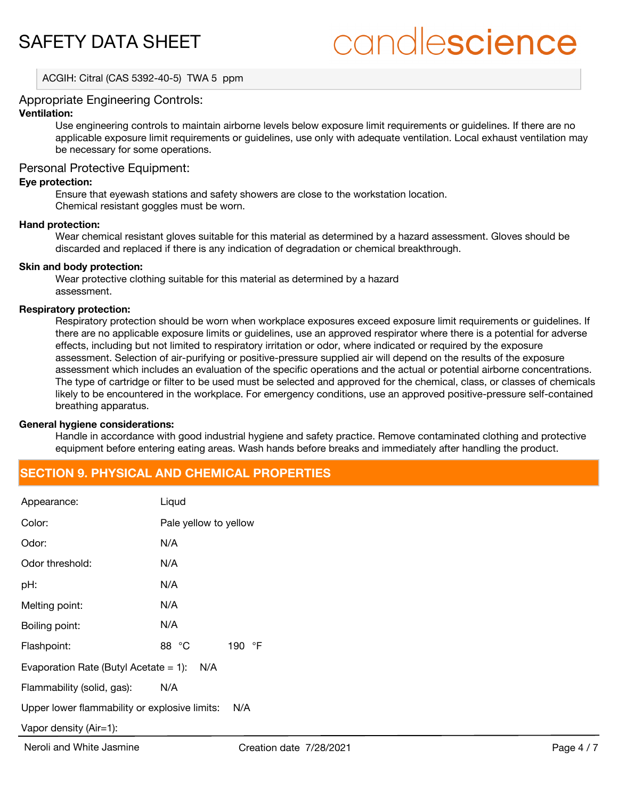# candlescience

ACGIH: Citral (CAS 5392-40-5) TWA 5 ppm

## Appropriate Engineering Controls:

## **Ventilation:**

Use engineering controls to maintain airborne levels below exposure limit requirements or guidelines. If there are no applicable exposure limit requirements or guidelines, use only with adequate ventilation. Local exhaust ventilation may be necessary for some operations.

## Personal Protective Equipment:

#### **Eye protection:**

Ensure that eyewash stations and safety showers are close to the workstation location. Chemical resistant goggles must be worn.

#### **Hand protection:**

Wear chemical resistant gloves suitable for this material as determined by a hazard assessment. Gloves should be discarded and replaced if there is any indication of degradation or chemical breakthrough.

#### **Skin and body protection:**

Wear protective clothing suitable for this material as determined by a hazard assessment.

#### **Respiratory protection:**

Respiratory protection should be worn when workplace exposures exceed exposure limit requirements or guidelines. If there are no applicable exposure limits or guidelines, use an approved respirator where there is a potential for adverse effects, including but not limited to respiratory irritation or odor, where indicated or required by the exposure assessment. Selection of air-purifying or positive-pressure supplied air will depend on the results of the exposure assessment which includes an evaluation of the specific operations and the actual or potential airborne concentrations. The type of cartridge or filter to be used must be selected and approved for the chemical, class, or classes of chemicals likely to be encountered in the workplace. For emergency conditions, use an approved positive-pressure self-contained breathing apparatus.

### **General hygiene considerations:**

Handle in accordance with good industrial hygiene and safety practice. Remove contaminated clothing and protective equipment before entering eating areas. Wash hands before breaks and immediately after handling the product.

## **SECTION 9. PHYSICAL AND CHEMICAL PROPERTIES**

| Appearance:                                   | Liqud                 |
|-----------------------------------------------|-----------------------|
| Color:                                        | Pale yellow to yellow |
| Odor:                                         | N/A                   |
| Odor threshold:                               | N/A                   |
| pH:                                           | N/A                   |
| Melting point:                                | N/A                   |
| Boiling point:                                | N/A                   |
| Flashpoint:                                   | 88 °C<br>190<br>°F    |
| Evaporation Rate (Butyl Acetate $= 1$ ):      | N/A                   |
| Flammability (solid, gas):                    | N/A                   |
| Upper lower flammability or explosive limits: | N/A                   |
| Vapor density (Air=1):                        |                       |
|                                               |                       |

Neroli and White Jasmine The Creation date 7/28/2021 Page 4 / 7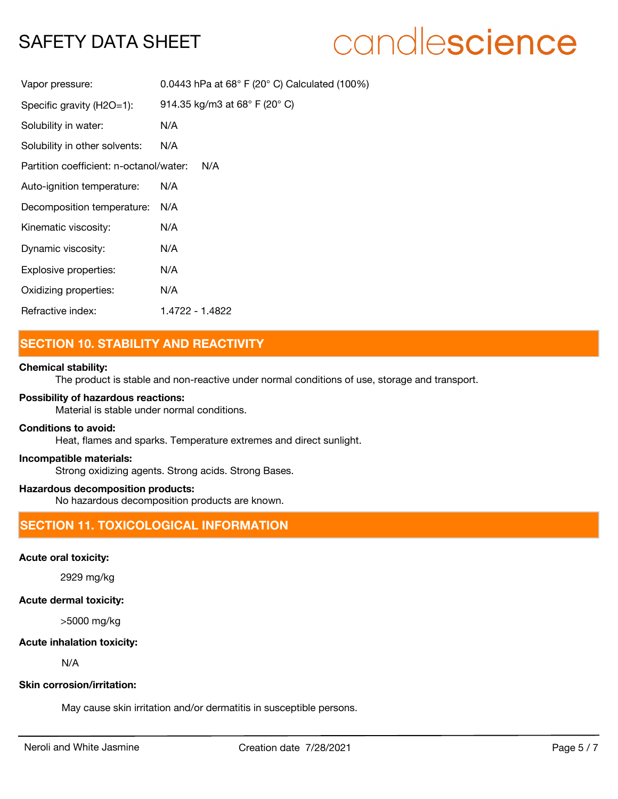## candlescience

| Vapor pressure:                         | 0.0443 hPa at $68^{\circ}$ F (20 $^{\circ}$ C) Calculated (100%) |
|-----------------------------------------|------------------------------------------------------------------|
| Specific gravity (H2O=1):               | 914.35 kg/m3 at 68 $^{\circ}$ F (20 $^{\circ}$ C)                |
| Solubility in water:                    | N/A                                                              |
| Solubility in other solvents:           | N/A                                                              |
| Partition coefficient: n-octanol/water: | N/A                                                              |
| Auto-ignition temperature:              | N/A                                                              |
| Decomposition temperature:              | N/A                                                              |
| Kinematic viscosity:                    | N/A                                                              |
| Dynamic viscosity:                      | N/A                                                              |
| Explosive properties:                   | N/A                                                              |
| Oxidizing properties:                   | N/A                                                              |
| Refractive index:                       | 1 4722 - 1 4822                                                  |

## **SECTION 10. STABILITY AND REACTIVITY**

## **Chemical stability:**

The product is stable and non-reactive under normal conditions of use, storage and transport.

## **Possibility of hazardous reactions:**

Material is stable under normal conditions.

## **Conditions to avoid:**

Heat, flames and sparks. Temperature extremes and direct sunlight.

#### **Incompatible materials:**

Strong oxidizing agents. Strong acids. Strong Bases.

## **Hazardous decomposition products:**

No hazardous decomposition products are known.

## **SECTION 11. TOXICOLOGICAL INFORMATION**

## **Acute oral toxicity:**

2929 mg/kg

## **Acute dermal toxicity:**

>5000 mg/kg

### **Acute inhalation toxicity:**

N/A

### **Skin corrosion/irritation:**

May cause skin irritation and/or dermatitis in susceptible persons.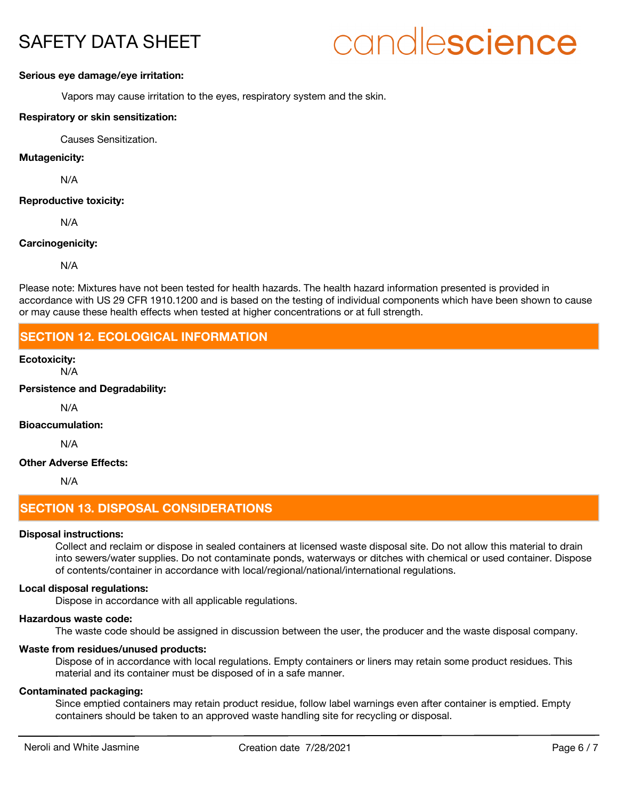# candlescience

#### **Serious eye damage/eye irritation:**

Vapors may cause irritation to the eyes, respiratory system and the skin.

### **Respiratory or skin sensitization:**

Causes Sensitization.

## **Mutagenicity:**

N/A

### **Reproductive toxicity:**

N/A

#### **Carcinogenicity:**

N/A

Please note: Mixtures have not been tested for health hazards. The health hazard information presented is provided in accordance with US 29 CFR 1910.1200 and is based on the testing of individual components which have been shown to cause or may cause these health effects when tested at higher concentrations or at full strength.

## **SECTION 12. ECOLOGICAL INFORMATION**

## **Ecotoxicity:**

N/A

**Persistence and Degradability:**

N/A

## **Bioaccumulation:**

N/A

## **Other Adverse Effects:**

N/A

## **SECTION 13. DISPOSAL CONSIDERATIONS**

#### **Disposal instructions:**

Collect and reclaim or dispose in sealed containers at licensed waste disposal site. Do not allow this material to drain into sewers/water supplies. Do not contaminate ponds, waterways or ditches with chemical or used container. Dispose of contents/container in accordance with local/regional/national/international regulations.

### **Local disposal regulations:**

Dispose in accordance with all applicable regulations.

#### **Hazardous waste code:**

The waste code should be assigned in discussion between the user, the producer and the waste disposal company.

## **Waste from residues/unused products:**

Dispose of in accordance with local regulations. Empty containers or liners may retain some product residues. This material and its container must be disposed of in a safe manner.

### **Contaminated packaging:**

Since emptied containers may retain product residue, follow label warnings even after container is emptied. Empty containers should be taken to an approved waste handling site for recycling or disposal.